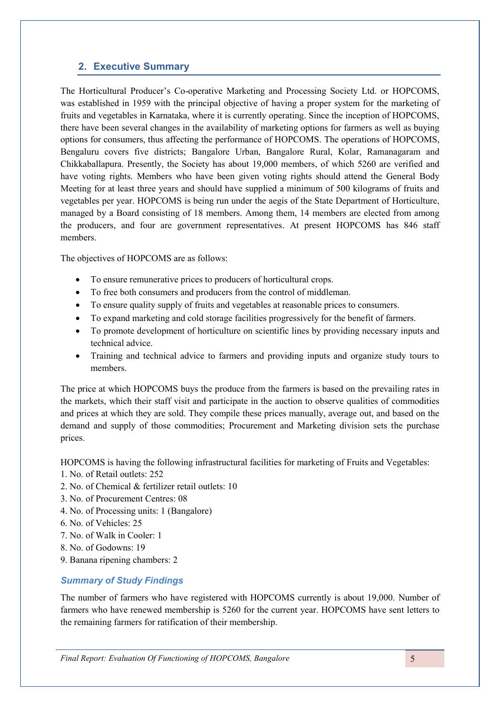# **2. Executive Summary**

The Horticultural Producer's Co-operative Marketing and Processing Society Ltd. or HOPCOMS, was established in 1959 with the principal objective of having a proper system for the marketing of fruits and vegetables in Karnataka, where it is currently operating. Since the inception of HOPCOMS, there have been several changes in the availability of marketing options for farmers as well as buying options for consumers, thus affecting the performance of HOPCOMS. The operations of HOPCOMS, Bengaluru covers five districts; Bangalore Urban, Bangalore Rural, Kolar, Ramanagaram and Chikkaballapura. Presently, the Society has about 19,000 members, of which 5260 are verified and have voting rights. Members who have been given voting rights should attend the General Body Meeting for at least three years and should have supplied a minimum of 500 kilograms of fruits and vegetables per year. HOPCOMS is being run under the aegis of the State Department of Horticulture, managed by a Board consisting of 18 members. Among them, 14 members are elected from among the producers, and four are government representatives. At present HOPCOMS has 846 staff members.

The objectives of HOPCOMS are as follows:

- To ensure remunerative prices to producers of horticultural crops.
- To free both consumers and producers from the control of middleman.
- To ensure quality supply of fruits and vegetables at reasonable prices to consumers.
- To expand marketing and cold storage facilities progressively for the benefit of farmers.
- To promote development of horticulture on scientific lines by providing necessary inputs and technical advice.
- Training and technical advice to farmers and providing inputs and organize study tours to members.

The price at which HOPCOMS buys the produce from the farmers is based on the prevailing rates in the markets, which their staff visit and participate in the auction to observe qualities of commodities and prices at which they are sold. They compile these prices manually, average out, and based on the demand and supply of those commodities; Procurement and Marketing division sets the purchase prices.

HOPCOMS is having the following infrastructural facilities for marketing of Fruits and Vegetables:

- 1. No. of Retail outlets: 252
- 2. No. of Chemical & fertilizer retail outlets: 10
- 3. No. of Procurement Centres: 08
- 4. No. of Processing units: 1 (Bangalore)
- 6. No. of Vehicles: 25
- 7. No. of Walk in Cooler: 1
- 8. No. of Godowns: 19
- 9. Banana ripening chambers: 2

## *Summary of Study Findings*

The number of farmers who have registered with HOPCOMS currently is about 19,000. Number of farmers who have renewed membership is 5260 for the current year. HOPCOMS have sent letters to the remaining farmers for ratification of their membership.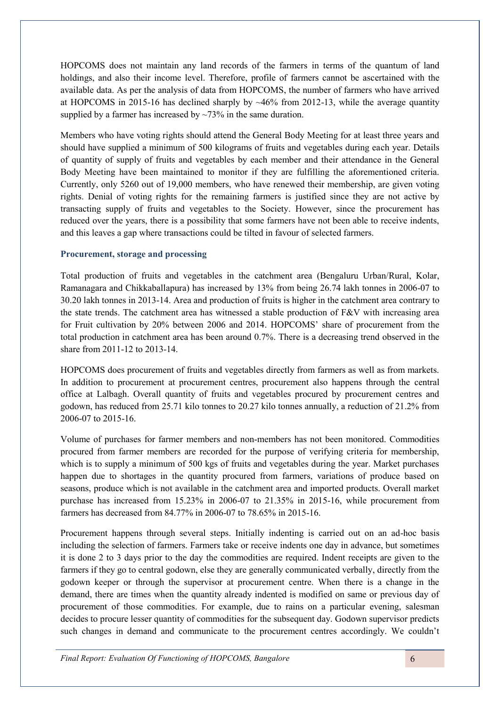HOPCOMS does not maintain any land records of the farmers in terms of the quantum of land holdings, and also their income level. Therefore, profile of farmers cannot be ascertained with the available data. As per the analysis of data from HOPCOMS, the number of farmers who have arrived at HOPCOMS in 2015-16 has declined sharply by  $~46\%$  from 2012-13, while the average quantity supplied by a farmer has increased by  $\sim$ 73% in the same duration.

Members who have voting rights should attend the General Body Meeting for at least three years and should have supplied a minimum of 500 kilograms of fruits and vegetables during each year. Details of quantity of supply of fruits and vegetables by each member and their attendance in the General Body Meeting have been maintained to monitor if they are fulfilling the aforementioned criteria. Currently, only 5260 out of 19,000 members, who have renewed their membership, are given voting rights. Denial of voting rights for the remaining farmers is justified since they are not active by transacting supply of fruits and vegetables to the Society. However, since the procurement has reduced over the years, there is a possibility that some farmers have not been able to receive indents, and this leaves a gap where transactions could be tilted in favour of selected farmers.

#### **Procurement, storage and processing**

Total production of fruits and vegetables in the catchment area (Bengaluru Urban/Rural, Kolar, Ramanagara and Chikkaballapura) has increased by 13% from being 26.74 lakh tonnes in 2006-07 to 30.20 lakh tonnes in 2013-14. Area and production of fruits is higher in the catchment area contrary to the state trends. The catchment area has witnessed a stable production of F&V with increasing area for Fruit cultivation by 20% between 2006 and 2014. HOPCOMS' share of procurement from the total production in catchment area has been around 0.7%. There is a decreasing trend observed in the share from 2011-12 to 2013-14.

HOPCOMS does procurement of fruits and vegetables directly from farmers as well as from markets. In addition to procurement at procurement centres, procurement also happens through the central office at Lalbagh. Overall quantity of fruits and vegetables procured by procurement centres and godown, has reduced from 25.71 kilo tonnes to 20.27 kilo tonnes annually, a reduction of 21.2% from 2006-07 to 2015-16.

Volume of purchases for farmer members and non-members has not been monitored. Commodities procured from farmer members are recorded for the purpose of verifying criteria for membership, which is to supply a minimum of 500 kgs of fruits and vegetables during the year. Market purchases happen due to shortages in the quantity procured from farmers, variations of produce based on seasons, produce which is not available in the catchment area and imported products. Overall market purchase has increased from 15.23% in 2006-07 to 21.35% in 2015-16, while procurement from farmers has decreased from 84.77% in 2006-07 to 78.65% in 2015-16.

Procurement happens through several steps. Initially indenting is carried out on an ad-hoc basis including the selection of farmers. Farmers take or receive indents one day in advance, but sometimes it is done 2 to 3 days prior to the day the commodities are required. Indent receipts are given to the farmers if they go to central godown, else they are generally communicated verbally, directly from the godown keeper or through the supervisor at procurement centre. When there is a change in the demand, there are times when the quantity already indented is modified on same or previous day of procurement of those commodities. For example, due to rains on a particular evening, salesman decides to procure lesser quantity of commodities for the subsequent day. Godown supervisor predicts such changes in demand and communicate to the procurement centres accordingly. We couldn't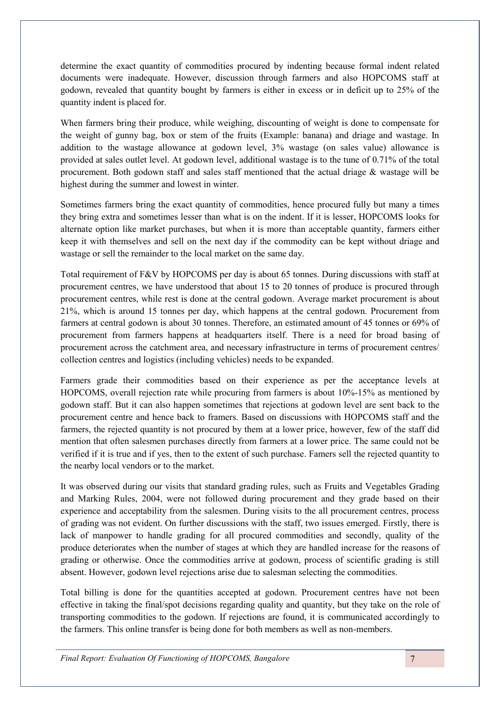determine the exact quantity of commodities procured by indenting because formal indent related documents were inadequate. However, discussion through farmers and also HOPCOMS staff at godown, revealed that quantity bought by farmers is either in excess or in deficit up to 25% of the quantity indent is placed for.

When farmers bring their produce, while weighing, discounting of weight is done to compensate for the weight of gunny bag, box or stem of the fruits (Example: banana) and driage and wastage. In addition to the wastage allowance at godown level, 3% wastage (on sales value) allowance is provided at sales outlet level. At godown level, additional wastage is to the tune of 0.71% of the total procurement. Both godown staff and sales staff mentioned that the actual driage  $\&$  wastage will be highest during the summer and lowest in winter.

Sometimes farmers bring the exact quantity of commodities, hence procured fully but many a times they bring extra and sometimes lesser than what is on the indent. If it is lesser, HOPCOMS looks for alternate option like market purchases, but when it is more than acceptable quantity, farmers either keep it with themselves and sell on the next day if the commodity can be kept without driage and wastage or sell the remainder to the local market on the same day.

Total requirement of F&V by HOPCOMS per day is about 65 tonnes. During discussions with staff at procurement centres, we have understood that about 15 to 20 tonnes of produce is procured through procurement centres, while rest is done at the central godown. Average market procurement is about 21%, which is around 15 tonnes per day, which happens at the central godown. Procurement from farmers at central godown is about 30 tonnes. Therefore, an estimated amount of 45 tonnes or 69% of procurement from farmers happens at headquarters itself. There is a need for broad basing of procurement across the catchment area, and necessary infrastructure in terms of procurement centres/ collection centres and logistics (including vehicles) needs to be expanded.

Farmers grade their commodities based on their experience as per the acceptance levels at HOPCOMS, overall rejection rate while procuring from farmers is about 10%-15% as mentioned by godown staff. But it can also happen sometimes that rejections at godown level are sent back to the procurement centre and hence back to framers. Based on discussions with HOPCOMS staff and the farmers, the rejected quantity is not procured by them at a lower price, however, few of the staff did mention that often salesmen purchases directly from farmers at a lower price. The same could not be verified if it is true and if yes, then to the extent of such purchase. Famers sell the rejected quantity to the nearby local vendors or to the market.

It was observed during our visits that standard grading rules, such as Fruits and Vegetables Grading and Marking Rules, 2004, were not followed during procurement and they grade based on their experience and acceptability from the salesmen. During visits to the all procurement centres, process of grading was not evident. On further discussions with the staff, two issues emerged. Firstly, there is lack of manpower to handle grading for all procured commodities and secondly, quality of the produce deteriorates when the number of stages at which they are handled increase for the reasons of grading or otherwise. Once the commodities arrive at godown, process of scientific grading is still absent. However, godown level rejections arise due to salesman selecting the commodities.

Total billing is done for the quantities accepted at godown. Procurement centres have not been effective in taking the final/spot decisions regarding quality and quantity, but they take on the role of transporting commodities to the godown. If rejections are found, it is communicated accordingly to the farmers. This online transfer is being done for both members as well as non-members.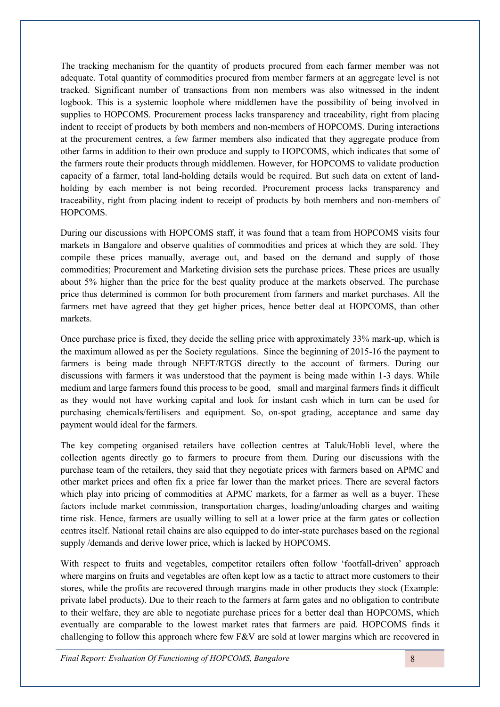The tracking mechanism for the quantity of products procured from each farmer member was not adequate. Total quantity of commodities procured from member farmers at an aggregate level is not tracked. Significant number of transactions from non members was also witnessed in the indent logbook. This is a systemic loophole where middlemen have the possibility of being involved in supplies to HOPCOMS. Procurement process lacks transparency and traceability, right from placing indent to receipt of products by both members and non-members of HOPCOMS. During interactions at the procurement centres, a few farmer members also indicated that they aggregate produce from other farms in addition to their own produce and supply to HOPCOMS, which indicates that some of the farmers route their products through middlemen. However, for HOPCOMS to validate production capacity of a farmer, total land-holding details would be required. But such data on extent of landholding by each member is not being recorded. Procurement process lacks transparency and traceability, right from placing indent to receipt of products by both members and non-members of HOPCOMS.

During our discussions with HOPCOMS staff, it was found that a team from HOPCOMS visits four markets in Bangalore and observe qualities of commodities and prices at which they are sold. They compile these prices manually, average out, and based on the demand and supply of those commodities; Procurement and Marketing division sets the purchase prices. These prices are usually about 5% higher than the price for the best quality produce at the markets observed. The purchase price thus determined is common for both procurement from farmers and market purchases. All the farmers met have agreed that they get higher prices, hence better deal at HOPCOMS, than other markets.

Once purchase price is fixed, they decide the selling price with approximately 33% mark-up, which is the maximum allowed as per the Society regulations. Since the beginning of 2015-16 the payment to farmers is being made through NEFT/RTGS directly to the account of farmers. During our discussions with farmers it was understood that the payment is being made within 1-3 days. While medium and large farmers found this process to be good, small and marginal farmers finds it difficult as they would not have working capital and look for instant cash which in turn can be used for purchasing chemicals/fertilisers and equipment. So, on-spot grading, acceptance and same day payment would ideal for the farmers.

The key competing organised retailers have collection centres at Taluk/Hobli level, where the collection agents directly go to farmers to procure from them. During our discussions with the purchase team of the retailers, they said that they negotiate prices with farmers based on APMC and other market prices and often fix a price far lower than the market prices. There are several factors which play into pricing of commodities at APMC markets, for a farmer as well as a buyer. These factors include market commission, transportation charges, loading/unloading charges and waiting time risk. Hence, farmers are usually willing to sell at a lower price at the farm gates or collection centres itself. National retail chains are also equipped to do inter-state purchases based on the regional supply /demands and derive lower price, which is lacked by HOPCOMS.

With respect to fruits and vegetables, competitor retailers often follow 'footfall-driven' approach where margins on fruits and vegetables are often kept low as a tactic to attract more customers to their stores, while the profits are recovered through margins made in other products they stock (Example: private label products). Due to their reach to the farmers at farm gates and no obligation to contribute to their welfare, they are able to negotiate purchase prices for a better deal than HOPCOMS, which eventually are comparable to the lowest market rates that farmers are paid. HOPCOMS finds it challenging to follow this approach where few F&V are sold at lower margins which are recovered in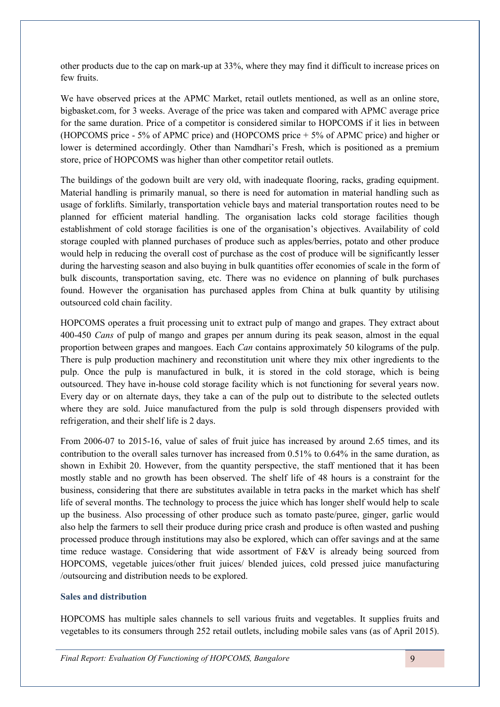other products due to the cap on mark-up at 33%, where they may find it difficult to increase prices on few fruits.

We have observed prices at the APMC Market, retail outlets mentioned, as well as an online store, bigbasket.com, for 3 weeks. Average of the price was taken and compared with APMC average price for the same duration. Price of a competitor is considered similar to HOPCOMS if it lies in between (HOPCOMS price - 5% of APMC price) and (HOPCOMS price + 5% of APMC price) and higher or lower is determined accordingly. Other than Namdhari's Fresh, which is positioned as a premium store, price of HOPCOMS was higher than other competitor retail outlets.

The buildings of the godown built are very old, with inadequate flooring, racks, grading equipment. Material handling is primarily manual, so there is need for automation in material handling such as usage of forklifts. Similarly, transportation vehicle bays and material transportation routes need to be planned for efficient material handling. The organisation lacks cold storage facilities though establishment of cold storage facilities is one of the organisation's objectives. Availability of cold storage coupled with planned purchases of produce such as apples/berries, potato and other produce would help in reducing the overall cost of purchase as the cost of produce will be significantly lesser during the harvesting season and also buying in bulk quantities offer economies of scale in the form of bulk discounts, transportation saving, etc. There was no evidence on planning of bulk purchases found. However the organisation has purchased apples from China at bulk quantity by utilising outsourced cold chain facility.

HOPCOMS operates a fruit processing unit to extract pulp of mango and grapes. They extract about 400-450 *Cans* of pulp of mango and grapes per annum during its peak season, almost in the equal proportion between grapes and mangoes. Each *Can* contains approximately 50 kilograms of the pulp. There is pulp production machinery and reconstitution unit where they mix other ingredients to the pulp. Once the pulp is manufactured in bulk, it is stored in the cold storage, which is being outsourced. They have in-house cold storage facility which is not functioning for several years now. Every day or on alternate days, they take a can of the pulp out to distribute to the selected outlets where they are sold. Juice manufactured from the pulp is sold through dispensers provided with refrigeration, and their shelf life is 2 days.

From 2006-07 to 2015-16, value of sales of fruit juice has increased by around 2.65 times, and its contribution to the overall sales turnover has increased from 0.51% to 0.64% in the same duration, as shown in Exhibit 20. However, from the quantity perspective, the staff mentioned that it has been mostly stable and no growth has been observed. The shelf life of 48 hours is a constraint for the business, considering that there are substitutes available in tetra packs in the market which has shelf life of several months. The technology to process the juice which has longer shelf would help to scale up the business. Also processing of other produce such as tomato paste/puree, ginger, garlic would also help the farmers to sell their produce during price crash and produce is often wasted and pushing processed produce through institutions may also be explored, which can offer savings and at the same time reduce wastage. Considering that wide assortment of F&V is already being sourced from HOPCOMS, vegetable juices/other fruit juices/ blended juices, cold pressed juice manufacturing /outsourcing and distribution needs to be explored.

## **Sales and distribution**

HOPCOMS has multiple sales channels to sell various fruits and vegetables. It supplies fruits and vegetables to its consumers through 252 retail outlets, including mobile sales vans (as of April 2015).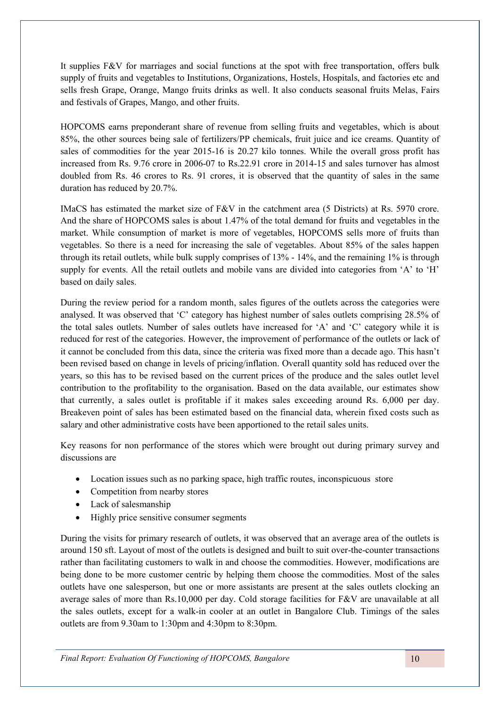It supplies F&V for marriages and social functions at the spot with free transportation, offers bulk supply of fruits and vegetables to Institutions, Organizations, Hostels, Hospitals, and factories etc and sells fresh Grape, Orange, Mango fruits drinks as well. It also conducts seasonal fruits Melas, Fairs and festivals of Grapes, Mango, and other fruits.

HOPCOMS earns preponderant share of revenue from selling fruits and vegetables, which is about 85%, the other sources being sale of fertilizers/PP chemicals, fruit juice and ice creams. Quantity of sales of commodities for the year 2015-16 is 20.27 kilo tonnes. While the overall gross profit has increased from Rs. 9.76 crore in 2006-07 to Rs.22.91 crore in 2014-15 and sales turnover has almost doubled from Rs. 46 crores to Rs. 91 crores, it is observed that the quantity of sales in the same duration has reduced by 20.7%.

IMaCS has estimated the market size of F&V in the catchment area (5 Districts) at Rs. 5970 crore. And the share of HOPCOMS sales is about 1.47% of the total demand for fruits and vegetables in the market. While consumption of market is more of vegetables, HOPCOMS sells more of fruits than vegetables. So there is a need for increasing the sale of vegetables. About 85% of the sales happen through its retail outlets, while bulk supply comprises of 13% - 14%, and the remaining 1% is through supply for events. All the retail outlets and mobile vans are divided into categories from 'A' to 'H' based on daily sales.

During the review period for a random month, sales figures of the outlets across the categories were analysed. It was observed that 'C' category has highest number of sales outlets comprising 28.5% of the total sales outlets. Number of sales outlets have increased for 'A' and 'C' category while it is reduced for rest of the categories. However, the improvement of performance of the outlets or lack of it cannot be concluded from this data, since the criteria was fixed more than a decade ago. This hasn't been revised based on change in levels of pricing/inflation. Overall quantity sold has reduced over the years, so this has to be revised based on the current prices of the produce and the sales outlet level contribution to the profitability to the organisation. Based on the data available, our estimates show that currently, a sales outlet is profitable if it makes sales exceeding around Rs. 6,000 per day. Breakeven point of sales has been estimated based on the financial data, wherein fixed costs such as salary and other administrative costs have been apportioned to the retail sales units.

Key reasons for non performance of the stores which were brought out during primary survey and discussions are

- Location issues such as no parking space, high traffic routes, inconspicuous store
- Competition from nearby stores
- Lack of salesmanship
- Highly price sensitive consumer segments

During the visits for primary research of outlets, it was observed that an average area of the outlets is around 150 sft. Layout of most of the outlets is designed and built to suit over-the-counter transactions rather than facilitating customers to walk in and choose the commodities. However, modifications are being done to be more customer centric by helping them choose the commodities. Most of the sales outlets have one salesperson, but one or more assistants are present at the sales outlets clocking an average sales of more than Rs.10,000 per day. Cold storage facilities for F&V are unavailable at all the sales outlets, except for a walk-in cooler at an outlet in Bangalore Club. Timings of the sales outlets are from 9.30am to 1:30pm and 4:30pm to 8:30pm.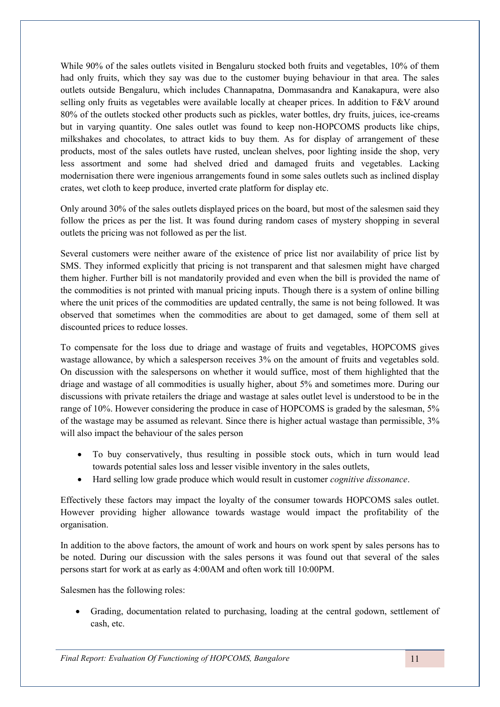While 90% of the sales outlets visited in Bengaluru stocked both fruits and vegetables, 10% of them had only fruits, which they say was due to the customer buying behaviour in that area. The sales outlets outside Bengaluru, which includes Channapatna, Dommasandra and Kanakapura, were also selling only fruits as vegetables were available locally at cheaper prices. In addition to F&V around 80% of the outlets stocked other products such as pickles, water bottles, dry fruits, juices, ice-creams but in varying quantity. One sales outlet was found to keep non-HOPCOMS products like chips, milkshakes and chocolates, to attract kids to buy them. As for display of arrangement of these products, most of the sales outlets have rusted, unclean shelves, poor lighting inside the shop, very less assortment and some had shelved dried and damaged fruits and vegetables. Lacking modernisation there were ingenious arrangements found in some sales outlets such as inclined display crates, wet cloth to keep produce, inverted crate platform for display etc.

Only around 30% of the sales outlets displayed prices on the board, but most of the salesmen said they follow the prices as per the list. It was found during random cases of mystery shopping in several outlets the pricing was not followed as per the list.

Several customers were neither aware of the existence of price list nor availability of price list by SMS. They informed explicitly that pricing is not transparent and that salesmen might have charged them higher. Further bill is not mandatorily provided and even when the bill is provided the name of the commodities is not printed with manual pricing inputs. Though there is a system of online billing where the unit prices of the commodities are updated centrally, the same is not being followed. It was observed that sometimes when the commodities are about to get damaged, some of them sell at discounted prices to reduce losses.

To compensate for the loss due to driage and wastage of fruits and vegetables, HOPCOMS gives wastage allowance, by which a salesperson receives 3% on the amount of fruits and vegetables sold. On discussion with the salespersons on whether it would suffice, most of them highlighted that the driage and wastage of all commodities is usually higher, about 5% and sometimes more. During our discussions with private retailers the driage and wastage at sales outlet level is understood to be in the range of 10%. However considering the produce in case of HOPCOMS is graded by the salesman, 5% of the wastage may be assumed as relevant. Since there is higher actual wastage than permissible, 3% will also impact the behaviour of the sales person

- To buy conservatively, thus resulting in possible stock outs, which in turn would lead towards potential sales loss and lesser visible inventory in the sales outlets,
- Hard selling low grade produce which would result in customer *cognitive dissonance*.

Effectively these factors may impact the loyalty of the consumer towards HOPCOMS sales outlet. However providing higher allowance towards wastage would impact the profitability of the organisation.

In addition to the above factors, the amount of work and hours on work spent by sales persons has to be noted. During our discussion with the sales persons it was found out that several of the sales persons start for work at as early as 4:00AM and often work till 10:00PM.

Salesmen has the following roles:

 Grading, documentation related to purchasing, loading at the central godown, settlement of cash, etc.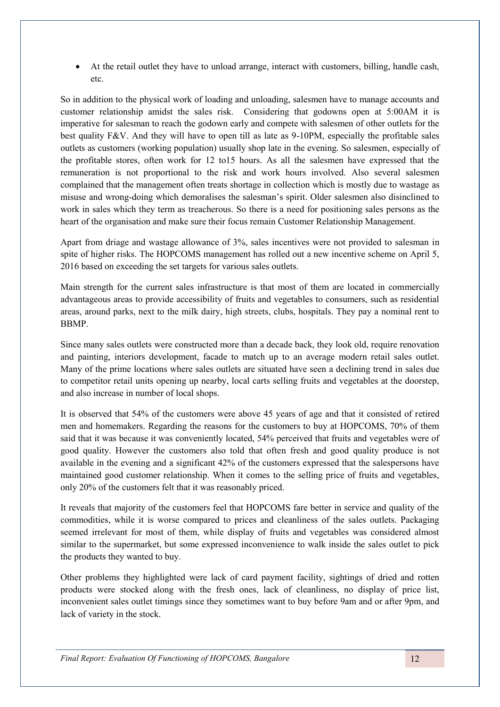At the retail outlet they have to unload arrange, interact with customers, billing, handle cash, etc.

So in addition to the physical work of loading and unloading, salesmen have to manage accounts and customer relationship amidst the sales risk. Considering that godowns open at 5:00AM it is imperative for salesman to reach the godown early and compete with salesmen of other outlets for the best quality F&V. And they will have to open till as late as 9-10PM, especially the profitable sales outlets as customers (working population) usually shop late in the evening. So salesmen, especially of the profitable stores, often work for 12 to15 hours. As all the salesmen have expressed that the remuneration is not proportional to the risk and work hours involved. Also several salesmen complained that the management often treats shortage in collection which is mostly due to wastage as misuse and wrong-doing which demoralises the salesman's spirit. Older salesmen also disinclined to work in sales which they term as treacherous. So there is a need for positioning sales persons as the heart of the organisation and make sure their focus remain Customer Relationship Management.

Apart from driage and wastage allowance of 3%, sales incentives were not provided to salesman in spite of higher risks. The HOPCOMS management has rolled out a new incentive scheme on April 5, 2016 based on exceeding the set targets for various sales outlets.

Main strength for the current sales infrastructure is that most of them are located in commercially advantageous areas to provide accessibility of fruits and vegetables to consumers, such as residential areas, around parks, next to the milk dairy, high streets, clubs, hospitals. They pay a nominal rent to BBMP.

Since many sales outlets were constructed more than a decade back, they look old, require renovation and painting, interiors development, facade to match up to an average modern retail sales outlet. Many of the prime locations where sales outlets are situated have seen a declining trend in sales due to competitor retail units opening up nearby, local carts selling fruits and vegetables at the doorstep, and also increase in number of local shops.

It is observed that 54% of the customers were above 45 years of age and that it consisted of retired men and homemakers. Regarding the reasons for the customers to buy at HOPCOMS, 70% of them said that it was because it was conveniently located, 54% perceived that fruits and vegetables were of good quality. However the customers also told that often fresh and good quality produce is not available in the evening and a significant 42% of the customers expressed that the salespersons have maintained good customer relationship. When it comes to the selling price of fruits and vegetables, only 20% of the customers felt that it was reasonably priced.

It reveals that majority of the customers feel that HOPCOMS fare better in service and quality of the commodities, while it is worse compared to prices and cleanliness of the sales outlets. Packaging seemed irrelevant for most of them, while display of fruits and vegetables was considered almost similar to the supermarket, but some expressed inconvenience to walk inside the sales outlet to pick the products they wanted to buy.

Other problems they highlighted were lack of card payment facility, sightings of dried and rotten products were stocked along with the fresh ones, lack of cleanliness, no display of price list, inconvenient sales outlet timings since they sometimes want to buy before 9am and or after 9pm, and lack of variety in the stock.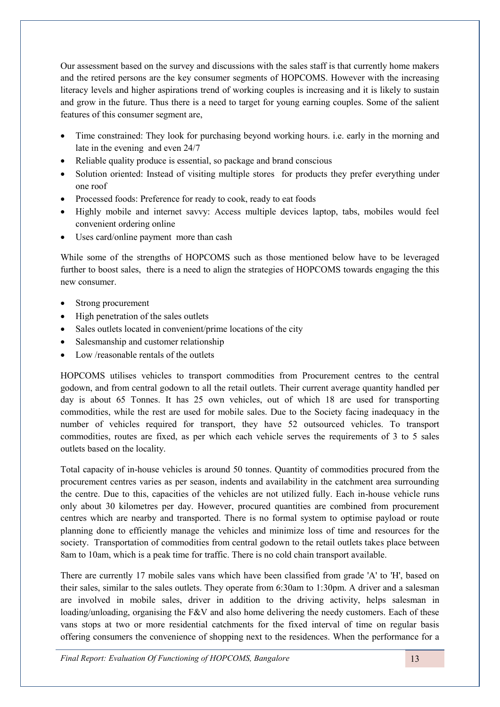Our assessment based on the survey and discussions with the sales staff is that currently home makers and the retired persons are the key consumer segments of HOPCOMS. However with the increasing literacy levels and higher aspirations trend of working couples is increasing and it is likely to sustain and grow in the future. Thus there is a need to target for young earning couples. Some of the salient features of this consumer segment are,

- Time constrained: They look for purchasing beyond working hours. i.e. early in the morning and late in the evening and even 24/7
- Reliable quality produce is essential, so package and brand conscious
- Solution oriented: Instead of visiting multiple stores for products they prefer everything under one roof
- Processed foods: Preference for ready to cook, ready to eat foods
- Highly mobile and internet savvy: Access multiple devices laptop, tabs, mobiles would feel convenient ordering online
- Uses card/online payment more than cash

While some of the strengths of HOPCOMS such as those mentioned below have to be leveraged further to boost sales, there is a need to align the strategies of HOPCOMS towards engaging the this new consumer.

- Strong procurement
- High penetration of the sales outlets
- Sales outlets located in convenient/prime locations of the city
- Salesmanship and customer relationship
- Low /reasonable rentals of the outlets

HOPCOMS utilises vehicles to transport commodities from Procurement centres to the central godown, and from central godown to all the retail outlets. Their current average quantity handled per day is about 65 Tonnes. It has 25 own vehicles, out of which 18 are used for transporting commodities, while the rest are used for mobile sales. Due to the Society facing inadequacy in the number of vehicles required for transport, they have 52 outsourced vehicles. To transport commodities, routes are fixed, as per which each vehicle serves the requirements of 3 to 5 sales outlets based on the locality.

Total capacity of in-house vehicles is around 50 tonnes. Quantity of commodities procured from the procurement centres varies as per season, indents and availability in the catchment area surrounding the centre. Due to this, capacities of the vehicles are not utilized fully. Each in-house vehicle runs only about 30 kilometres per day. However, procured quantities are combined from procurement centres which are nearby and transported. There is no formal system to optimise payload or route planning done to efficiently manage the vehicles and minimize loss of time and resources for the society. Transportation of commodities from central godown to the retail outlets takes place between 8am to 10am, which is a peak time for traffic. There is no cold chain transport available.

There are currently 17 mobile sales vans which have been classified from grade 'A' to 'H', based on their sales, similar to the sales outlets. They operate from 6:30am to 1:30pm. A driver and a salesman are involved in mobile sales, driver in addition to the driving activity, helps salesman in loading/unloading, organising the  $F&V$  and also home delivering the needy customers. Each of these vans stops at two or more residential catchments for the fixed interval of time on regular basis offering consumers the convenience of shopping next to the residences. When the performance for a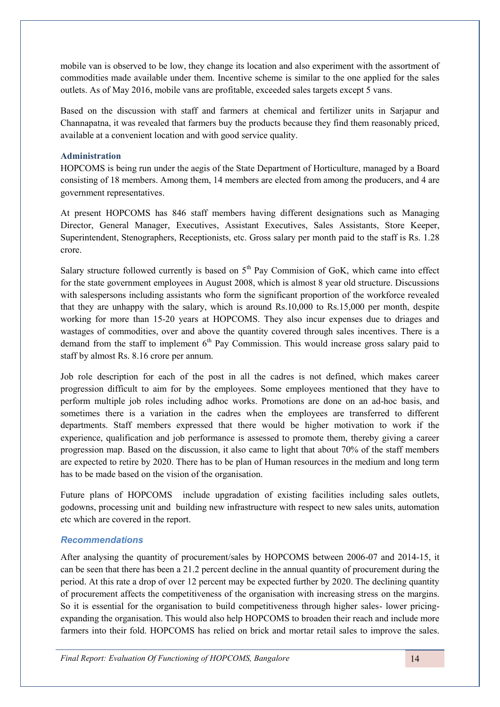mobile van is observed to be low, they change its location and also experiment with the assortment of commodities made available under them. Incentive scheme is similar to the one applied for the sales outlets. As of May 2016, mobile vans are profitable, exceeded sales targets except 5 vans.

Based on the discussion with staff and farmers at chemical and fertilizer units in Sarjapur and Channapatna, it was revealed that farmers buy the products because they find them reasonably priced, available at a convenient location and with good service quality.

#### **Administration**

HOPCOMS is being run under the aegis of the State Department of Horticulture, managed by a Board consisting of 18 members. Among them, 14 members are elected from among the producers, and 4 are government representatives.

At present HOPCOMS has 846 staff members having different designations such as Managing Director, General Manager, Executives, Assistant Executives, Sales Assistants, Store Keeper, Superintendent, Stenographers, Receptionists, etc. Gross salary per month paid to the staff is Rs. 1.28 crore.

Salary structure followed currently is based on  $5<sup>th</sup>$  Pay Commision of GoK, which came into effect for the state government employees in August 2008, which is almost 8 year old structure. Discussions with salespersons including assistants who form the significant proportion of the workforce revealed that they are unhappy with the salary, which is around Rs.10,000 to Rs.15,000 per month, despite working for more than 15-20 years at HOPCOMS. They also incur expenses due to driages and wastages of commodities, over and above the quantity covered through sales incentives. There is a demand from the staff to implement  $6<sup>th</sup>$  Pay Commission. This would increase gross salary paid to staff by almost Rs. 8.16 crore per annum.

Job role description for each of the post in all the cadres is not defined, which makes career progression difficult to aim for by the employees. Some employees mentioned that they have to perform multiple job roles including adhoc works. Promotions are done on an ad-hoc basis, and sometimes there is a variation in the cadres when the employees are transferred to different departments. Staff members expressed that there would be higher motivation to work if the experience, qualification and job performance is assessed to promote them, thereby giving a career progression map. Based on the discussion, it also came to light that about 70% of the staff members are expected to retire by 2020. There has to be plan of Human resources in the medium and long term has to be made based on the vision of the organisation.

Future plans of HOPCOMS include upgradation of existing facilities including sales outlets, godowns, processing unit and building new infrastructure with respect to new sales units, automation etc which are covered in the report.

## *Recommendations*

After analysing the quantity of procurement/sales by HOPCOMS between 2006-07 and 2014-15, it can be seen that there has been a 21.2 percent decline in the annual quantity of procurement during the period. At this rate a drop of over 12 percent may be expected further by 2020. The declining quantity of procurement affects the competitiveness of the organisation with increasing stress on the margins. So it is essential for the organisation to build competitiveness through higher sales- lower pricingexpanding the organisation. This would also help HOPCOMS to broaden their reach and include more farmers into their fold. HOPCOMS has relied on brick and mortar retail sales to improve the sales.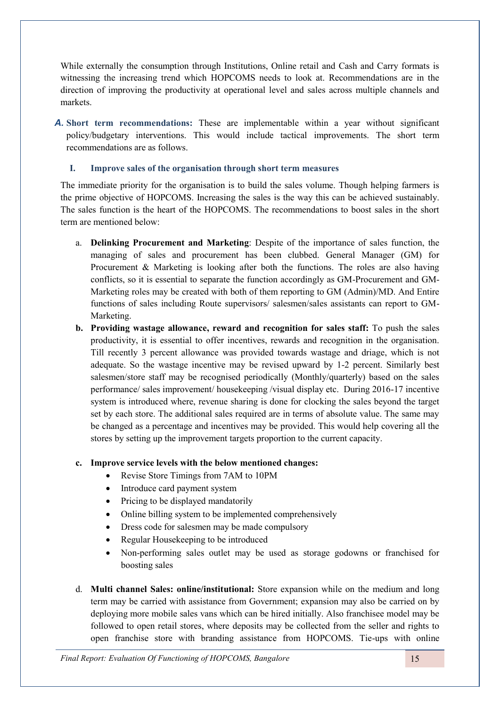While externally the consumption through Institutions, Online retail and Cash and Carry formats is witnessing the increasing trend which HOPCOMS needs to look at. Recommendations are in the direction of improving the productivity at operational level and sales across multiple channels and markets.

*A.* **Short term recommendations:** These are implementable within a year without significant policy/budgetary interventions. This would include tactical improvements. The short term recommendations are as follows.

#### **I. Improve sales of the organisation through short term measures**

The immediate priority for the organisation is to build the sales volume. Though helping farmers is the prime objective of HOPCOMS. Increasing the sales is the way this can be achieved sustainably. The sales function is the heart of the HOPCOMS. The recommendations to boost sales in the short term are mentioned below:

- a. **Delinking Procurement and Marketing**: Despite of the importance of sales function, the managing of sales and procurement has been clubbed. General Manager (GM) for Procurement & Marketing is looking after both the functions. The roles are also having conflicts, so it is essential to separate the function accordingly as GM-Procurement and GM-Marketing roles may be created with both of them reporting to GM (Admin)/MD. And Entire functions of sales including Route supervisors/ salesmen/sales assistants can report to GM-Marketing.
- **b. Providing wastage allowance, reward and recognition for sales staff:** To push the sales productivity, it is essential to offer incentives, rewards and recognition in the organisation. Till recently 3 percent allowance was provided towards wastage and driage, which is not adequate. So the wastage incentive may be revised upward by 1-2 percent. Similarly best salesmen/store staff may be recognised periodically (Monthly/quarterly) based on the sales performance/ sales improvement/ housekeeping /visual display etc. During 2016-17 incentive system is introduced where, revenue sharing is done for clocking the sales beyond the target set by each store. The additional sales required are in terms of absolute value. The same may be changed as a percentage and incentives may be provided. This would help covering all the stores by setting up the improvement targets proportion to the current capacity.

## **c. Improve service levels with the below mentioned changes:**

- Revise Store Timings from 7AM to 10PM
- Introduce card payment system
- Pricing to be displayed mandatorily
- Online billing system to be implemented comprehensively
- Dress code for salesmen may be made compulsory
- Regular Housekeeping to be introduced
- Non-performing sales outlet may be used as storage godowns or franchised for boosting sales
- d. **Multi channel Sales: online/institutional:** Store expansion while on the medium and long term may be carried with assistance from Government; expansion may also be carried on by deploying more mobile sales vans which can be hired initially. Also franchisee model may be followed to open retail stores, where deposits may be collected from the seller and rights to open franchise store with branding assistance from HOPCOMS. Tie-ups with online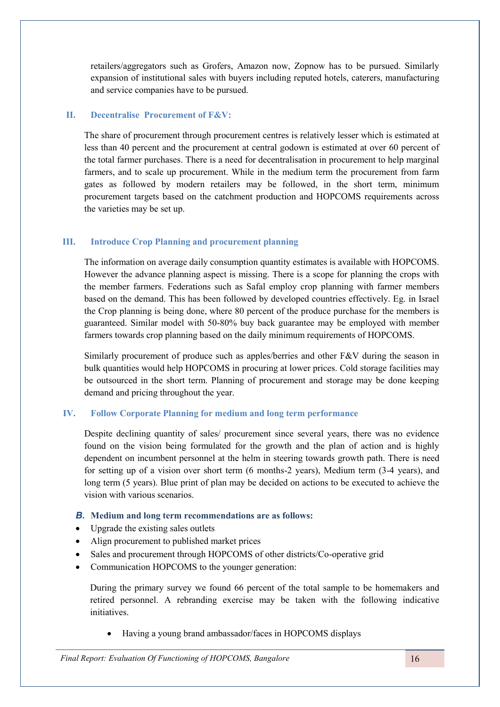retailers/aggregators such as Grofers, Amazon now, Zopnow has to be pursued. Similarly expansion of institutional sales with buyers including reputed hotels, caterers, manufacturing and service companies have to be pursued.

## **II. Decentralise Procurement of F&V:**

The share of procurement through procurement centres is relatively lesser which is estimated at less than 40 percent and the procurement at central godown is estimated at over 60 percent of the total farmer purchases. There is a need for decentralisation in procurement to help marginal farmers, and to scale up procurement. While in the medium term the procurement from farm gates as followed by modern retailers may be followed, in the short term, minimum procurement targets based on the catchment production and HOPCOMS requirements across the varieties may be set up.

## **III. Introduce Crop Planning and procurement planning**

The information on average daily consumption quantity estimates is available with HOPCOMS. However the advance planning aspect is missing. There is a scope for planning the crops with the member farmers. Federations such as Safal employ crop planning with farmer members based on the demand. This has been followed by developed countries effectively. Eg. in Israel the Crop planning is being done, where 80 percent of the produce purchase for the members is guaranteed. Similar model with 50-80% buy back guarantee may be employed with member farmers towards crop planning based on the daily minimum requirements of HOPCOMS.

Similarly procurement of produce such as apples/berries and other F&V during the season in bulk quantities would help HOPCOMS in procuring at lower prices. Cold storage facilities may be outsourced in the short term. Planning of procurement and storage may be done keeping demand and pricing throughout the year.

## **IV. Follow Corporate Planning for medium and long term performance**

Despite declining quantity of sales/ procurement since several years, there was no evidence found on the vision being formulated for the growth and the plan of action and is highly dependent on incumbent personnel at the helm in steering towards growth path. There is need for setting up of a vision over short term (6 months-2 years), Medium term (3-4 years), and long term (5 years). Blue print of plan may be decided on actions to be executed to achieve the vision with various scenarios.

## *B.* **Medium and long term recommendations are as follows:**

- Upgrade the existing sales outlets
- Align procurement to published market prices
- Sales and procurement through HOPCOMS of other districts/Co-operative grid
- Communication HOPCOMS to the younger generation:

During the primary survey we found 66 percent of the total sample to be homemakers and retired personnel. A rebranding exercise may be taken with the following indicative initiatives.

Having a young brand ambassador/faces in HOPCOMS displays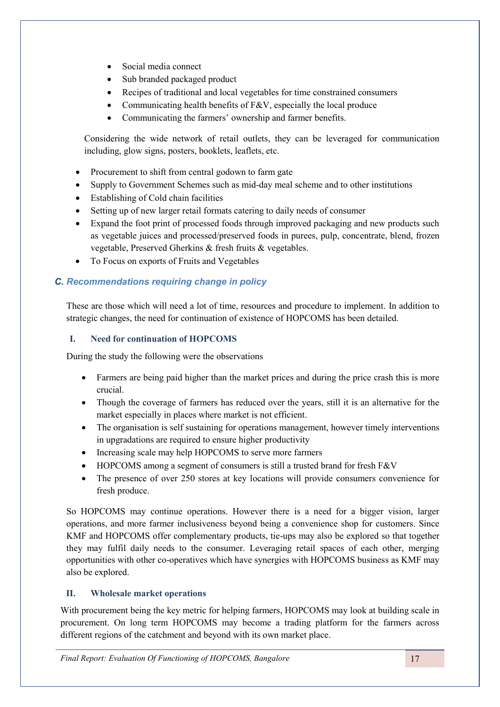- Social media connect
- Sub branded packaged product
- Recipes of traditional and local vegetables for time constrained consumers
- Communicating health benefits of  $F&V$ , especially the local produce
- Communicating the farmers' ownership and farmer benefits.

Considering the wide network of retail outlets, they can be leveraged for communication including, glow signs, posters, booklets, leaflets, etc.

- Procurement to shift from central godown to farm gate
- Supply to Government Schemes such as mid-day meal scheme and to other institutions
- Establishing of Cold chain facilities
- Setting up of new larger retail formats catering to daily needs of consumer
- Expand the foot print of processed foods through improved packaging and new products such as vegetable juices and processed/preserved foods in purees, pulp, concentrate, blend, frozen vegetable, Preserved Gherkins & fresh fruits & vegetables.
- To Focus on exports of Fruits and Vegetables

# *C. Recommendations requiring change in policy*

These are those which will need a lot of time, resources and procedure to implement. In addition to strategic changes, the need for continuation of existence of HOPCOMS has been detailed.

# **I. Need for continuation of HOPCOMS**

During the study the following were the observations

- Farmers are being paid higher than the market prices and during the price crash this is more crucial.
- Though the coverage of farmers has reduced over the years, still it is an alternative for the market especially in places where market is not efficient.
- The organisation is self sustaining for operations management, however timely interventions in upgradations are required to ensure higher productivity
- Increasing scale may help HOPCOMS to serve more farmers
- HOPCOMS among a segment of consumers is still a trusted brand for fresh F&V
- The presence of over 250 stores at key locations will provide consumers convenience for fresh produce.

So HOPCOMS may continue operations. However there is a need for a bigger vision, larger operations, and more farmer inclusiveness beyond being a convenience shop for customers. Since KMF and HOPCOMS offer complementary products, tie-ups may also be explored so that together they may fulfil daily needs to the consumer. Leveraging retail spaces of each other, merging opportunities with other co-operatives which have synergies with HOPCOMS business as KMF may also be explored.

# **II. Wholesale market operations**

With procurement being the key metric for helping farmers, HOPCOMS may look at building scale in procurement. On long term HOPCOMS may become a trading platform for the farmers across different regions of the catchment and beyond with its own market place.

*Final Report: Evaluation Of Functioning of HOPCOMS, Bangalore* 17